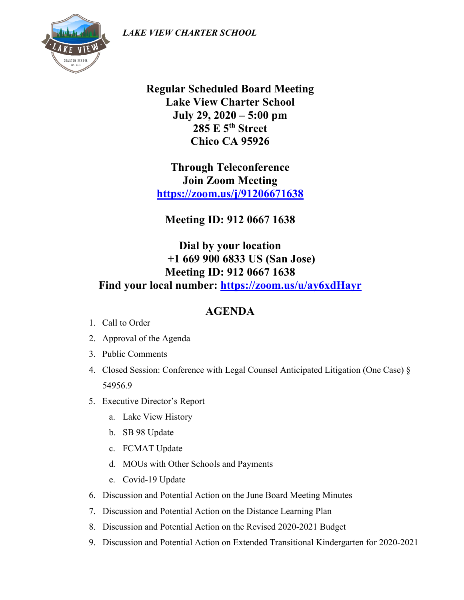*LAKE VIEW CHARTER SCHOOL*



**Regular Scheduled Board Meeting Lake View Charter School July 29, 2020 – 5:00 pm 285 E 5th Street Chico CA 95926**

**Through Teleconference Join Zoom Meeting <https://zoom.us/j/91206671638>**

**Meeting ID: 912 0667 1638**

**Dial by your location +1 669 900 6833 US (San Jose) Meeting ID: 912 0667 1638 Find your local number:<https://zoom.us/u/ay6xdHayr>**

## **AGENDA**

- 1. Call to Order
- 2. Approval of the Agenda
- 3. Public Comments
- 4. Closed Session: Conference with Legal Counsel Anticipated Litigation (One Case) § 54956.9
- 5. Executive Director's Report
	- a. Lake View History
	- b. SB 98 Update
	- c. FCMAT Update
	- d. MOUs with Other Schools and Payments
	- e. Covid-19 Update
- 6. Discussion and Potential Action on the June Board Meeting Minutes
- 7. Discussion and Potential Action on the Distance Learning Plan
- 8. Discussion and Potential Action on the Revised 2020-2021 Budget
- 9. Discussion and Potential Action on Extended Transitional Kindergarten for 2020-2021